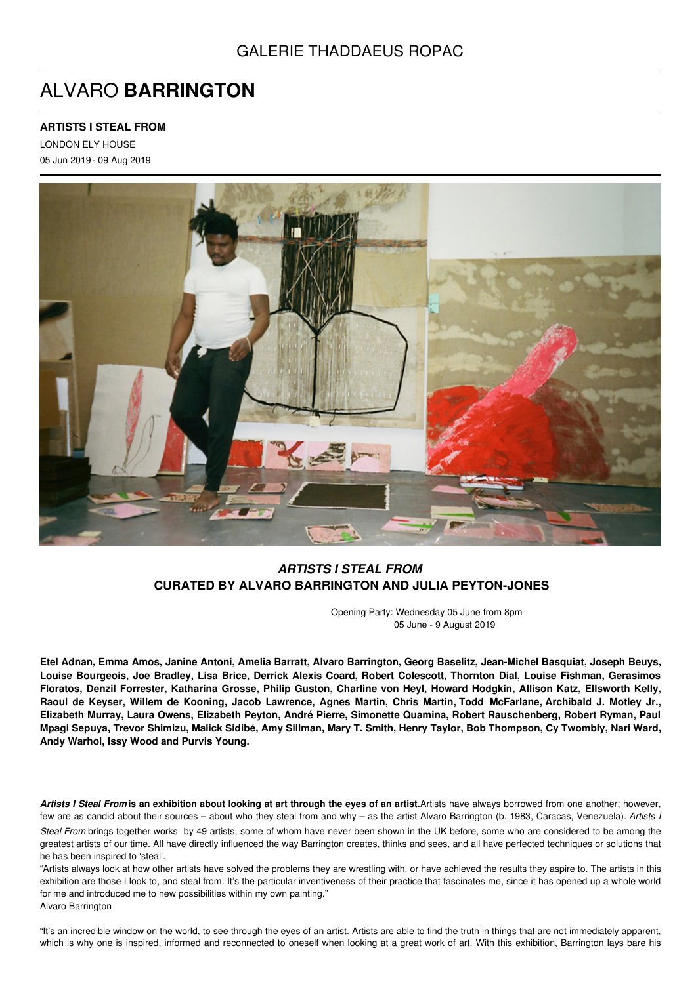# ALVARO **BARRINGTON**

## **ARTISTS I STEAL FROM**

LONDON ELY HOUSE 05 Jun 2019 - 09 Aug 2019



## *ARTISTS I STEAL FROM* **CURATED BY ALVARO BARRINGTON AND JULIA PEYTON-JONES**

Opening Party: Wednesday 05 June from 8pm 05 June - 9 August 2019

Etel Adnan, Emma Amos, Janine Antoni, Amelia Barratt, Alvaro Barrington, Georg Baselitz, Jean-Michel Basquiat, Joseph Beuys, Louise Bourgeois, Joe Bradley, Lisa Brice, Derrick Alexis Coard, Robert Colescott, Thornton Dial, Louise Fishman, Gerasimos Floratos, Denzil Forrester, Katharina Grosse, Philip Guston, Charline von Heyl, Howard Hodgkin, Allison Katz, Ellsworth Kelly, Raoul de Keyser, Willem de Kooning, Jacob Lawrence, Agnes Martin, Chris Martin, Todd McFarlane, Archibald J. Motley Jr., Elizabeth Murray, Laura Owens, Elizabeth Peyton, André Pierre, Simonette Quamina, Robert Rauschenberg, Robert Ryman, Paul Mpagi Sepuya, Trevor Shimizu, Malick Sidibé, Amy Sillman, Mary T. Smith, Henry Taylor, Bob Thompson, Cy Twombly, Nari Ward, **Andy Warhol, Issy Wood and Purvis Young.**

Artists I Steal From is an exhibition about looking at art through the eyes of an artist. Artists have always borrowed from one another; however, few are as candid about their sources – about who they steal from and why – as the artist Alvaro Barrington (b. 1983, Caracas, Venezuela). *Artists I Steal From* brings together works by 49 artists, some of whom have never been shown in the UK before, some who are considered to be among the greatest artists of our time. All have directly influenced the way Barrington creates, thinks and sees, and all have perfected techniques or solutions that he has been inspired to 'steal'.

"Artists always look at how other artists have solved the problems they are wrestling with, or have achieved the results they aspire to. The artists in this exhibition are those I look to, and steal from. It's the particular inventiveness of their practice that fascinates me, since it has opened up a whole world for me and introduced me to new possibilities within my own painting." Alvaro Barrington

"It's an incredible window on the world, to see through the eyes of an artist. Artists are able to find the truth in things that are not immediately apparent, which is why one is inspired, informed and reconnected to oneself when looking at a great work of art. With this exhibition, Barrington lays bare his